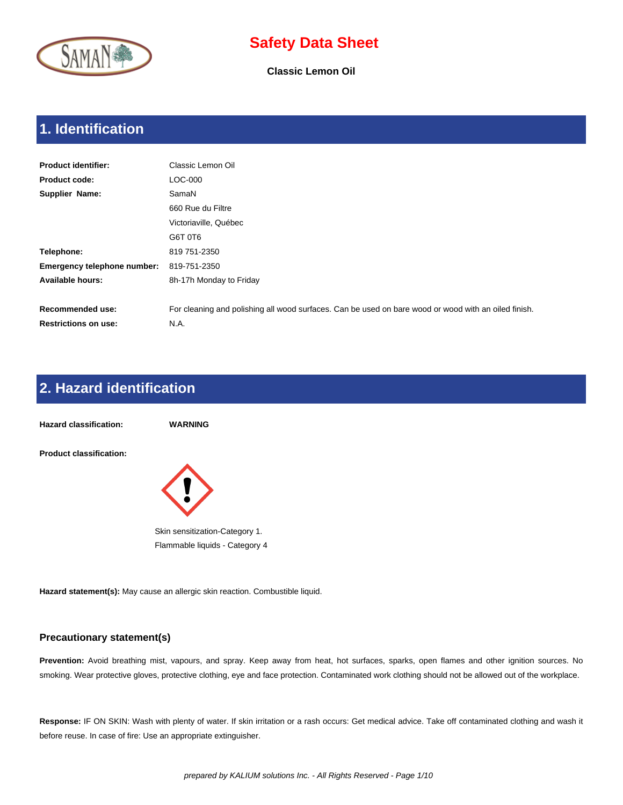

**Classic Lemon Oil**

## **1. Identification**

| <b>Product identifier:</b>         | Classic Lemon Oil                                                                                    |
|------------------------------------|------------------------------------------------------------------------------------------------------|
| <b>Product code:</b>               | LOC-000                                                                                              |
| Supplier Name:                     | SamaN                                                                                                |
|                                    | 660 Rue du Filtre                                                                                    |
|                                    | Victoriaville, Québec                                                                                |
|                                    | G6T 0T6                                                                                              |
| Telephone:                         | 819 751-2350                                                                                         |
| <b>Emergency telephone number:</b> | 819-751-2350                                                                                         |
| Available hours:                   | 8h-17h Monday to Friday                                                                              |
|                                    |                                                                                                      |
| <b>Recommended use:</b>            | For cleaning and polishing all wood surfaces. Can be used on bare wood or wood with an oiled finish. |
| <b>Restrictions on use:</b>        | N.A.                                                                                                 |

### **2. Hazard identification**



**Hazard statement(s):** May cause an allergic skin reaction. Combustible liquid.

#### **Precautionary statement(s)**

**Prevention:** Avoid breathing mist, vapours, and spray. Keep away from heat, hot surfaces, sparks, open flames and other ignition sources. No smoking. Wear protective gloves, protective clothing, eye and face protection. Contaminated work clothing should not be allowed out of the workplace.

**Response:** IF ON SKIN: Wash with plenty of water. If skin irritation or a rash occurs: Get medical advice. Take off contaminated clothing and wash it before reuse. In case of fire: Use an appropriate extinguisher.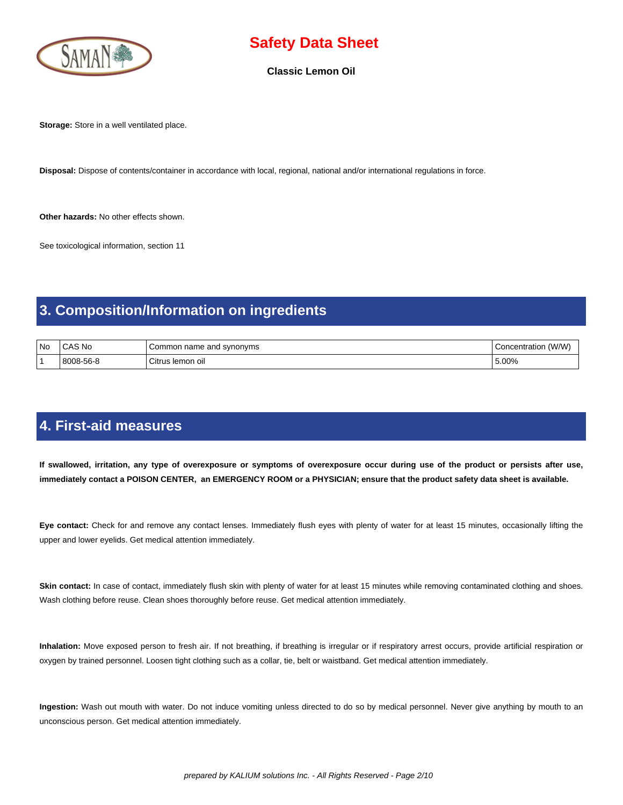

**Classic Lemon Oil**

**Storage:** Store in a well ventilated place.

**Disposal:** Dispose of contents/container in accordance with local, regional, national and/or international regulations in force.

**Other hazards:** No other effects shown.

See toxicological information, section 11

#### **3. Composition/Information on ingredients**

| No | ົAS No    | synonyms<br>Common name and | (W/W)<br>:oncentration<br>ິ |
|----|-----------|-----------------------------|-----------------------------|
|    | 8008-56-8 | Citrus<br>; lemon oil       | 5.00%                       |

#### **4. First-aid measures**

 **If swallowed, irritation, any type of overexposure or symptoms of overexposure occur during use of the product or persists after use, immediately contact a POISON CENTER, an EMERGENCY ROOM or a PHYSICIAN; ensure that the product safety data sheet is available.**

**Eye contact:** Check for and remove any contact lenses. Immediately flush eyes with plenty of water for at least 15 minutes, occasionally lifting the upper and lower eyelids. Get medical attention immediately.

Skin contact: In case of contact, immediately flush skin with plenty of water for at least 15 minutes while removing contaminated clothing and shoes. Wash clothing before reuse. Clean shoes thoroughly before reuse. Get medical attention immediately.

**Inhalation:** Move exposed person to fresh air. If not breathing, if breathing is irregular or if respiratory arrest occurs, provide artificial respiration or oxygen by trained personnel. Loosen tight clothing such as a collar, tie, belt or waistband. Get medical attention immediately.

**Ingestion:** Wash out mouth with water. Do not induce vomiting unless directed to do so by medical personnel. Never give anything by mouth to an unconscious person. Get medical attention immediately.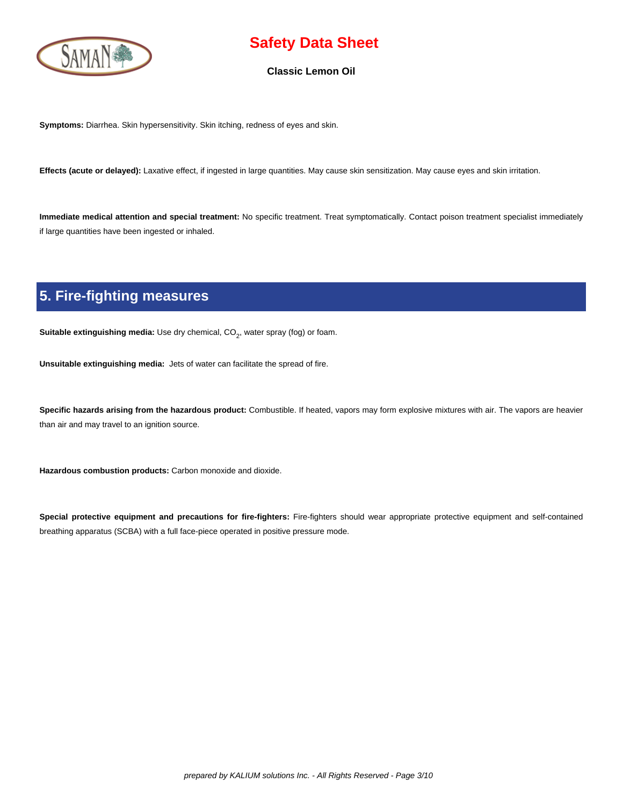

#### **Classic Lemon Oil**

**Symptoms:** Diarrhea. Skin hypersensitivity. Skin itching, redness of eyes and skin.

**Effects (acute or delayed):** Laxative effect, if ingested in large quantities. May cause skin sensitization. May cause eyes and skin irritation.

**Immediate medical attention and special treatment:** No specific treatment. Treat symptomatically. Contact poison treatment specialist immediately if large quantities have been ingested or inhaled.

## **5. Fire-fighting measures**

**Suitable extinguishing media:** Use dry chemical, CO<sub>2</sub>, water spray (fog) or foam.

**Unsuitable extinguishing media:** Jets of water can facilitate the spread of fire.

**Specific hazards arising from the hazardous product:** Combustible. If heated, vapors may form explosive mixtures with air. The vapors are heavier than air and may travel to an ignition source.

**Hazardous combustion products:** Carbon monoxide and dioxide.

**Special protective equipment and precautions for fire-fighters:** Fire-fighters should wear appropriate protective equipment and self-contained breathing apparatus (SCBA) with a full face-piece operated in positive pressure mode.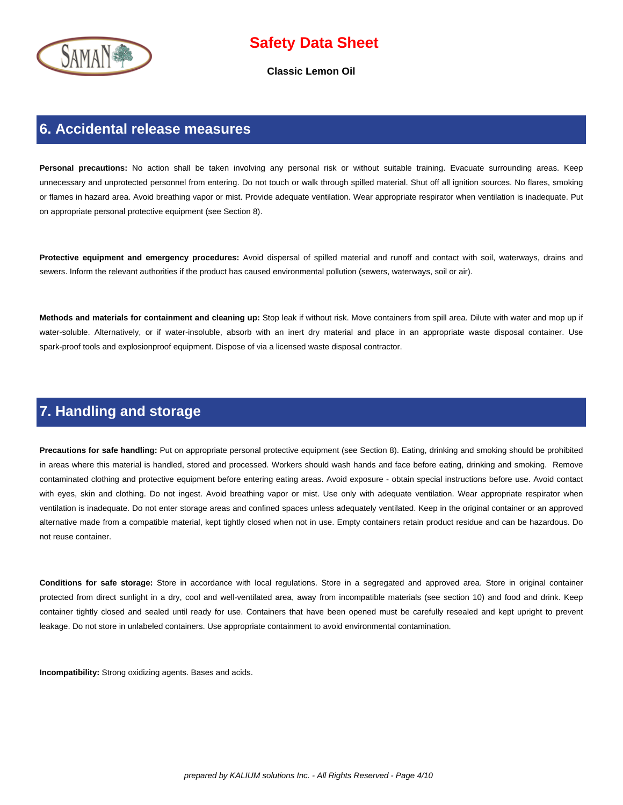

**Classic Lemon Oil**

#### **6. Accidental release measures**

Personal precautions: No action shall be taken involving any personal risk or without suitable training. Evacuate surrounding areas. Keep unnecessary and unprotected personnel from entering. Do not touch or walk through spilled material. Shut off all ignition sources. No flares, smoking or flames in hazard area. Avoid breathing vapor or mist. Provide adequate ventilation. Wear appropriate respirator when ventilation is inadequate. Put on appropriate personal protective equipment (see Section 8).

**Protective equipment and emergency procedures:** Avoid dispersal of spilled material and runoff and contact with soil, waterways, drains and sewers. Inform the relevant authorities if the product has caused environmental pollution (sewers, waterways, soil or air).

**Methods and materials for containment and cleaning up:** Stop leak if without risk. Move containers from spill area. Dilute with water and mop up if water-soluble. Alternatively, or if water-insoluble, absorb with an inert dry material and place in an appropriate waste disposal container. Use spark-proof tools and explosionproof equipment. Dispose of via a licensed waste disposal contractor.

#### **7. Handling and storage**

**Precautions for safe handling:** Put on appropriate personal protective equipment (see Section 8). Eating, drinking and smoking should be prohibited in areas where this material is handled, stored and processed. Workers should wash hands and face before eating, drinking and smoking. Remove contaminated clothing and protective equipment before entering eating areas. Avoid exposure - obtain special instructions before use. Avoid contact with eyes, skin and clothing. Do not ingest. Avoid breathing vapor or mist. Use only with adequate ventilation. Wear appropriate respirator when ventilation is inadequate. Do not enter storage areas and confined spaces unless adequately ventilated. Keep in the original container or an approved alternative made from a compatible material, kept tightly closed when not in use. Empty containers retain product residue and can be hazardous. Do not reuse container.

**Conditions for safe storage:** Store in accordance with local regulations. Store in a segregated and approved area. Store in original container protected from direct sunlight in a dry, cool and well-ventilated area, away from incompatible materials (see section 10) and food and drink. Keep container tightly closed and sealed until ready for use. Containers that have been opened must be carefully resealed and kept upright to prevent leakage. Do not store in unlabeled containers. Use appropriate containment to avoid environmental contamination.

**Incompatibility:** Strong oxidizing agents. Bases and acids.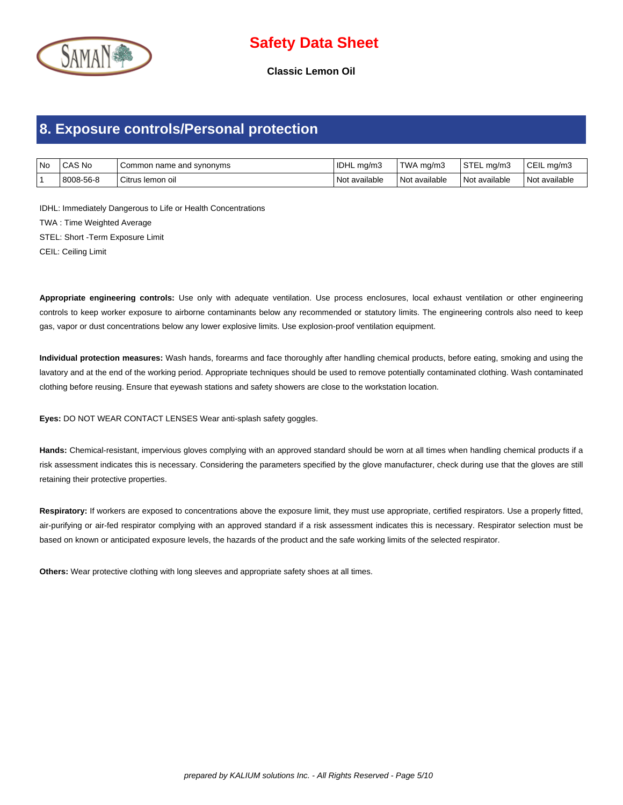

**Classic Lemon Oil**

#### **8. Exposure controls/Personal protection**

| No ICAS No | Common name and synonyms | IDHL mg/m3    | $\mathsf{TWA}\mathsf{mq}/\mathsf{m}3$ | STEL mg/m3      | $C EIL$ mg/m3   |
|------------|--------------------------|---------------|---------------------------------------|-----------------|-----------------|
| 8008-56-8  | l Citrus Iemon oil       | Not available | Not available                         | l Not available | l Not available |

IDHL: Immediately Dangerous to Life or Health Concentrations TWA : Time Weighted Average STEL: Short -Term Exposure Limit CEIL: Ceiling Limit

**Appropriate engineering controls:** Use only with adequate ventilation. Use process enclosures, local exhaust ventilation or other engineering controls to keep worker exposure to airborne contaminants below any recommended or statutory limits. The engineering controls also need to keep gas, vapor or dust concentrations below any lower explosive limits. Use explosion-proof ventilation equipment.

**Individual protection measures:** Wash hands, forearms and face thoroughly after handling chemical products, before eating, smoking and using the lavatory and at the end of the working period. Appropriate techniques should be used to remove potentially contaminated clothing. Wash contaminated clothing before reusing. Ensure that eyewash stations and safety showers are close to the workstation location.

**Eyes:** DO NOT WEAR CONTACT LENSES Wear anti-splash safety goggles.

**Hands:** Chemical-resistant, impervious gloves complying with an approved standard should be worn at all times when handling chemical products if a risk assessment indicates this is necessary. Considering the parameters specified by the glove manufacturer, check during use that the gloves are still retaining their protective properties.

**Respiratory:** If workers are exposed to concentrations above the exposure limit, they must use appropriate, certified respirators. Use a properly fitted, air-purifying or air-fed respirator complying with an approved standard if a risk assessment indicates this is necessary. Respirator selection must be based on known or anticipated exposure levels, the hazards of the product and the safe working limits of the selected respirator.

**Others:** Wear protective clothing with long sleeves and appropriate safety shoes at all times.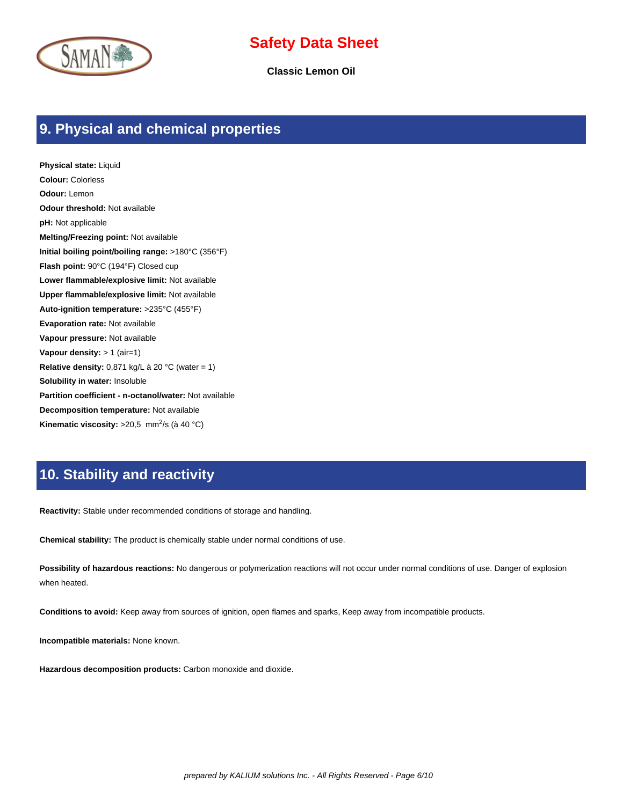



**Classic Lemon Oil**

#### **9. Physical and chemical properties**

**Physical state:** Liquid **Colour:** Colorless **Odour:** Lemon **Odour threshold:** Not available **pH:** Not applicable **Melting/Freezing point:** Not available **Initial boiling point/boiling range:** >180°C (356°F) **Flash point:** 90°C (194°F) Closed cup **Lower flammable/explosive limit:** Not available **Upper flammable/explosive limit:** Not available **Auto-ignition temperature:** >235°C (455°F) **Evaporation rate:** Not available **Vapour pressure:** Not available **Vapour density:** > 1 (air=1) **Relative density:** 0,871 kg/L à 20 °C (water = 1) **Solubility in water:** Insoluble **Partition coefficient - n-octanol/water:** Not available **Decomposition temperature:** Not available Kinematic viscosity: >20,5 mm<sup>2</sup>/s (à 40 °C)

#### **10. Stability and reactivity**

**Reactivity:** Stable under recommended conditions of storage and handling.

**Chemical stability:** The product is chemically stable under normal conditions of use.

**Possibility of hazardous reactions:** No dangerous or polymerization reactions will not occur under normal conditions of use. Danger of explosion when heated.

**Conditions to avoid:** Keep away from sources of ignition, open flames and sparks, Keep away from incompatible products.

**Incompatible materials:** None known.

**Hazardous decomposition products:** Carbon monoxide and dioxide.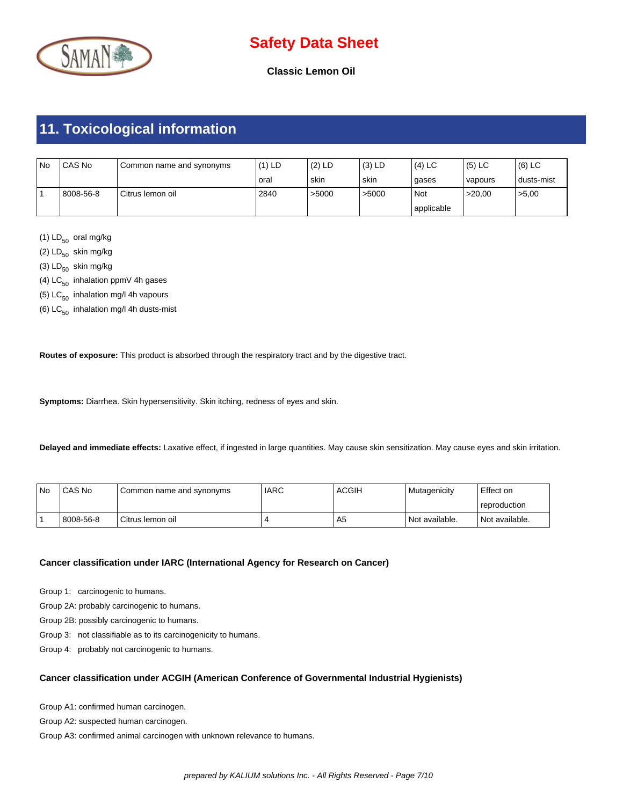

**Classic Lemon Oil**

## **11. Toxicological information**

| <b>No</b> | CAS No    | Common name and synonyms | $(1)$ LD | (2) LD | $(3)$ LD | $(4)$ LC   | $(5)$ LC  | $(6)$ LC   |
|-----------|-----------|--------------------------|----------|--------|----------|------------|-----------|------------|
|           |           |                          | oral     | skin   | skin     | gases      | I vapours | dusts-mist |
|           | 8008-56-8 | Citrus lemon oil         | 2840     | >5000  | >5000    | Not        | >20.00    | >5,00      |
|           |           |                          |          |        |          | applicable |           |            |

(1)  $LD_{50}$  oral mg/kg

(2)  $LD_{50}$  skin mg/kg

(3)  $LD_{50}$  skin mg/kg

(4)  $LC_{50}$  inhalation ppmV 4h gases

(5)  $LC_{50}$  inhalation mg/l 4h vapours

(6)  $LC_{50}$  inhalation mg/l 4h dusts-mist

**Routes of exposure:** This product is absorbed through the respiratory tract and by the digestive tract.

**Symptoms:** Diarrhea. Skin hypersensitivity. Skin itching, redness of eyes and skin.

**Delayed and immediate effects:** Laxative effect, if ingested in large quantities. May cause skin sensitization. May cause eyes and skin irritation.

| l No | CAS No    | I Common name and synonyms | <b>IARC</b> | <b>ACGIH</b> | l Mutagenicitv   | Effect on        |
|------|-----------|----------------------------|-------------|--------------|------------------|------------------|
|      |           |                            |             |              |                  | l reproduction   |
|      | 8008-56-8 | Citrus lemon oil           |             | A5           | l Not available. | l Not available. |

#### **Cancer classification under IARC (International Agency for Research on Cancer)**

Group 1: carcinogenic to humans.

Group 2A: probably carcinogenic to humans.

Group 2B: possibly carcinogenic to humans.

Group 3: not classifiable as to its carcinogenicity to humans.

Group 4: probably not carcinogenic to humans.

#### **Cancer classification under ACGIH (American Conference of Governmental Industrial Hygienists)**

Group A1: confirmed human carcinogen.

Group A2: suspected human carcinogen.

Group A3: confirmed animal carcinogen with unknown relevance to humans.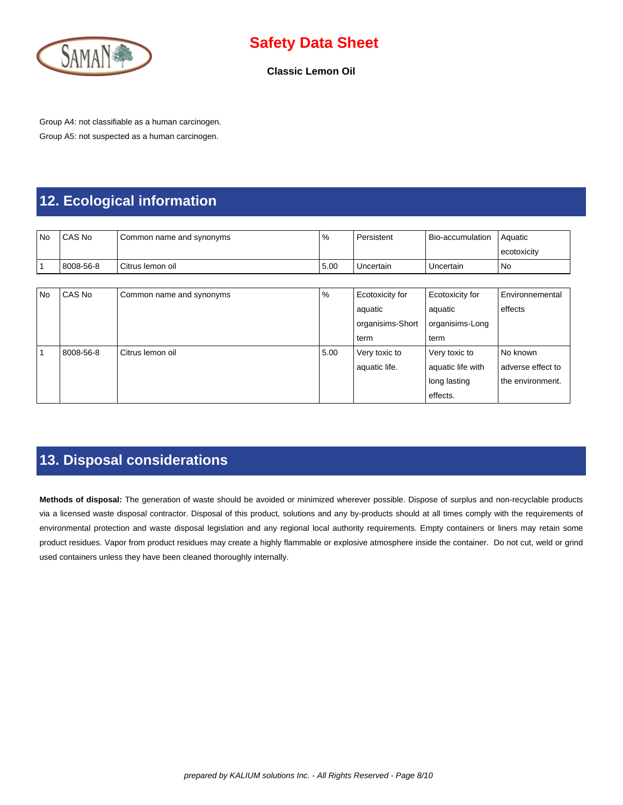

**Classic Lemon Oil**

Group A4: not classifiable as a human carcinogen. Group A5: not suspected as a human carcinogen.

## **12. Ecological information**

| <b>No</b> | CAS No    | Common name and synonyms | %    | Persistent       | Bio-accumulation  | Aquatic           |
|-----------|-----------|--------------------------|------|------------------|-------------------|-------------------|
|           |           |                          |      |                  |                   | ecotoxicity       |
|           | 8008-56-8 | Citrus lemon oil         | 5.00 | Uncertain        | Uncertain         | <b>No</b>         |
|           |           |                          |      |                  |                   |                   |
| <b>No</b> | CAS No    | Common name and synonyms | %    | Ecotoxicity for  | Ecotoxicity for   | Environnemental   |
|           |           |                          |      | aquatic          | aquatic           | effects           |
|           |           |                          |      | organisims-Short | organisims-Long   |                   |
|           |           |                          |      | term             | term              |                   |
|           | 8008-56-8 | Citrus lemon oil         | 5.00 | Very toxic to    | Very toxic to     | No known          |
|           |           |                          |      | aquatic life.    | aquatic life with | adverse effect to |
|           |           |                          |      |                  | long lasting      | the environment.  |
|           |           |                          |      |                  | effects.          |                   |

#### **13. Disposal considerations**

**Methods of disposal:** The generation of waste should be avoided or minimized wherever possible. Dispose of surplus and non-recyclable products via a licensed waste disposal contractor. Disposal of this product, solutions and any by-products should at all times comply with the requirements of environmental protection and waste disposal legislation and any regional local authority requirements. Empty containers or liners may retain some product residues. Vapor from product residues may create a highly flammable or explosive atmosphere inside the container. Do not cut, weld or grind used containers unless they have been cleaned thoroughly internally.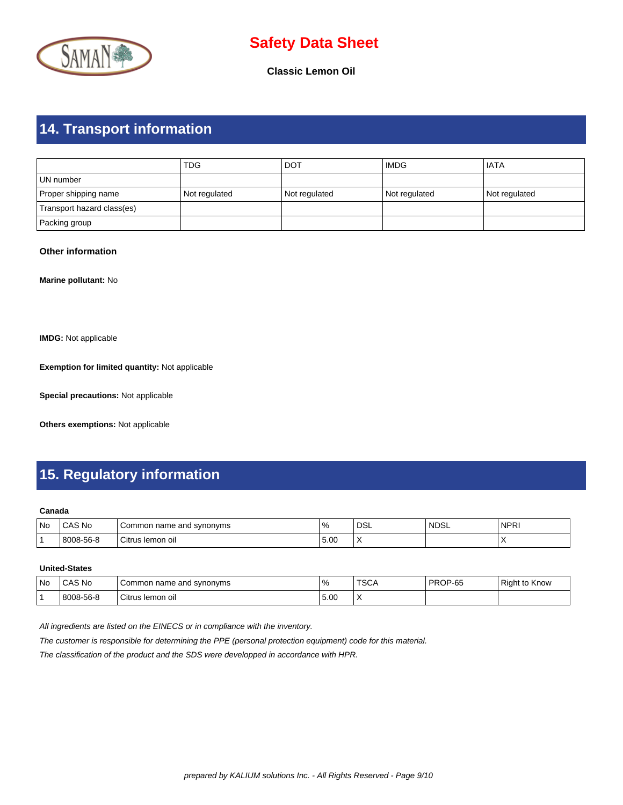

**Classic Lemon Oil**

# **14. Transport information**

|                            | <b>TDG</b>    | <b>DOT</b>    | <b>IMDG</b>   | <b>IATA</b>   |
|----------------------------|---------------|---------------|---------------|---------------|
| l UN number                |               |               |               |               |
| Proper shipping name       | Not regulated | Not regulated | Not regulated | Not regulated |
| Transport hazard class(es) |               |               |               |               |
| Packing group              |               |               |               |               |

#### **Other information**

**Marine pollutant:** No

**IMDG:** Not applicable

**Exemption for limited quantity:** Not applicable

**Special precautions:** Not applicable

**Others exemptions:** Not applicable

## **15. Regulatory information**

#### **Canada**

| No | CAS No    | l svnonvms<br>name<br>ommon<br>and | $\%$ | ne<br>⊔ບ∟                | 'NDSL | <b>NPRI</b>              |
|----|-----------|------------------------------------|------|--------------------------|-------|--------------------------|
|    | 8008-56-8 | Citrus lemon oil                   | 5.00 | $\overline{\phantom{a}}$ |       | $\overline{\phantom{a}}$ |

#### **United-States**

| No | CAS No    | name and svnonvms<br>Common | $\frac{9}{6}$ | <b>TSCA</b> | PROP-65 | <b>Right to Know</b> |
|----|-----------|-----------------------------|---------------|-------------|---------|----------------------|
|    | 8008-56-8 | Citrus lemon oil            | 5.00          | $\sqrt{ }$  |         |                      |

All ingredients are listed on the EINECS or in compliance with the inventory.

The customer is responsible for determining the PPE (personal protection equipment) code for this material.

The classification of the product and the SDS were developped in accordance with HPR.